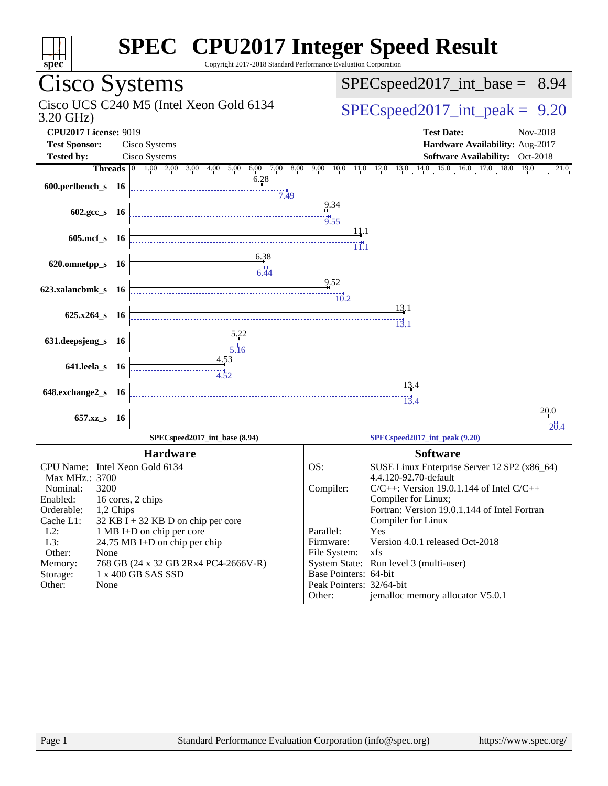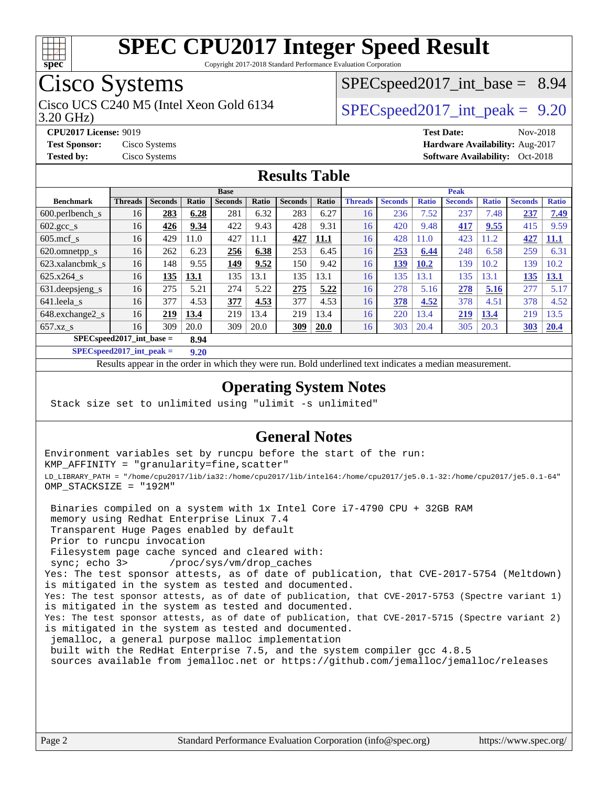

Copyright 2017-2018 Standard Performance Evaluation Corporation

### Cisco Systems

Cisco UCS C240 M5 (Intel Xeon Gold 6134  $\vert$  [SPECspeed2017\\_int\\_peak =](http://www.spec.org/auto/cpu2017/Docs/result-fields.html#SPECspeed2017intpeak) 9.20

 $SPECspeed2017\_int\_base = 8.94$ 

3.20 GHz)

**[Test Sponsor:](http://www.spec.org/auto/cpu2017/Docs/result-fields.html#TestSponsor)** Cisco Systems **[Hardware Availability:](http://www.spec.org/auto/cpu2017/Docs/result-fields.html#HardwareAvailability)** Aug-2017 **[Tested by:](http://www.spec.org/auto/cpu2017/Docs/result-fields.html#Testedby)** Cisco Systems **Cisco Systems [Software Availability:](http://www.spec.org/auto/cpu2017/Docs/result-fields.html#SoftwareAvailability)** Oct-2018

**[CPU2017 License:](http://www.spec.org/auto/cpu2017/Docs/result-fields.html#CPU2017License)** 9019 **[Test Date:](http://www.spec.org/auto/cpu2017/Docs/result-fields.html#TestDate)** Nov-2018

**[Results Table](http://www.spec.org/auto/cpu2017/Docs/result-fields.html#ResultsTable)**

|                                    | <b>Base</b>    |                |       |                |       |                |       |                | <b>Peak</b>    |              |                |              |                |              |  |
|------------------------------------|----------------|----------------|-------|----------------|-------|----------------|-------|----------------|----------------|--------------|----------------|--------------|----------------|--------------|--|
| <b>Benchmark</b>                   | <b>Threads</b> | <b>Seconds</b> | Ratio | <b>Seconds</b> | Ratio | <b>Seconds</b> | Ratio | <b>Threads</b> | <b>Seconds</b> | <b>Ratio</b> | <b>Seconds</b> | <b>Ratio</b> | <b>Seconds</b> | <b>Ratio</b> |  |
| $600.$ perlbench s                 | 16             | 283            | 6.28  | 281            | 6.32  | 283            | 6.27  | 16             | 236            | 7.52         | 237            | 7.48         | 237            | 7.49         |  |
| $602.\text{sec}\_\text{s}$         | 16             | 426            | 9.34  | 422            | 9.43  | 428            | 9.31  | 16             | 420            | 9.48         | 417            | 9.55         | 415            | 9.59         |  |
| $605$ .mcf s                       | 16             | 429            | 11.0  | 427            | 11.1  | 427            | 11.1  | 16             | 428            | 11.0         | 423            | 11.2         | 427            | 11.1         |  |
| 620.omnetpp_s                      | 16             | 262            | 6.23  | 256            | 6.38  | 253            | 6.45  | 16             | 253            | 6.44         | 248            | 6.58         | 259            | 6.31         |  |
| 623.xalancbmk s                    | 16             | 148            | 9.55  | 149            | 9.52  | 150            | 9.42  | 16             | 139            | 10.2         | 139            | 10.2         | 139            | 10.2         |  |
| $625.x264$ s                       | 16             | 135            | 13.1  | 135            | 13.1  | 135            | 13.1  | 16             | 135            | 13.1         | 135            | 13.1         | 135            | 13.1         |  |
| 631.deepsjeng_s                    | 16             | 275            | 5.21  | 274            | 5.22  | 275            | 5.22  | 16             | 278            | 5.16         | 278            | 5.16         | 277            | 5.17         |  |
| 641.leela s                        | 16             | 377            | 4.53  | 377            | 4.53  | 377            | 4.53  | 16             | 378            | 4.52         | 378            | 4.51         | 378            | 4.52         |  |
| 648.exchange2_s                    | 16             | 219            | 13.4  | 219            | 13.4  | 219            | 13.4  | 16             | 220            | 13.4         | 219            | 13.4         | 219            | 13.5         |  |
| $657.xz$ s                         | 16             | 309            | 20.0  | 309            | 20.0  | <u>309</u>     | 20.0  | 16             | 303            | 20.4         | 305            | 20.3         | 303            | 20.4         |  |
| $SPECspeed2017$ int base =<br>8.94 |                |                |       |                |       |                |       |                |                |              |                |              |                |              |  |

**[SPECspeed2017\\_int\\_peak =](http://www.spec.org/auto/cpu2017/Docs/result-fields.html#SPECspeed2017intpeak) 9.20**

Results appear in the [order in which they were run.](http://www.spec.org/auto/cpu2017/Docs/result-fields.html#RunOrder) Bold underlined text [indicates a median measurement](http://www.spec.org/auto/cpu2017/Docs/result-fields.html#Median).

#### **[Operating System Notes](http://www.spec.org/auto/cpu2017/Docs/result-fields.html#OperatingSystemNotes)**

Stack size set to unlimited using "ulimit -s unlimited"

#### **[General Notes](http://www.spec.org/auto/cpu2017/Docs/result-fields.html#GeneralNotes)**

Environment variables set by runcpu before the start of the run: KMP\_AFFINITY = "granularity=fine,scatter" LD\_LIBRARY\_PATH = "/home/cpu2017/lib/ia32:/home/cpu2017/lib/intel64:/home/cpu2017/je5.0.1-32:/home/cpu2017/je5.0.1-64" OMP\_STACKSIZE = "192M"

 Binaries compiled on a system with 1x Intel Core i7-4790 CPU + 32GB RAM memory using Redhat Enterprise Linux 7.4 Transparent Huge Pages enabled by default Prior to runcpu invocation Filesystem page cache synced and cleared with: sync; echo 3> /proc/sys/vm/drop\_caches Yes: The test sponsor attests, as of date of publication, that CVE-2017-5754 (Meltdown) is mitigated in the system as tested and documented. Yes: The test sponsor attests, as of date of publication, that CVE-2017-5753 (Spectre variant 1) is mitigated in the system as tested and documented. Yes: The test sponsor attests, as of date of publication, that CVE-2017-5715 (Spectre variant 2) is mitigated in the system as tested and documented. jemalloc, a general purpose malloc implementation built with the RedHat Enterprise 7.5, and the system compiler gcc 4.8.5 sources available from jemalloc.net or <https://github.com/jemalloc/jemalloc/releases>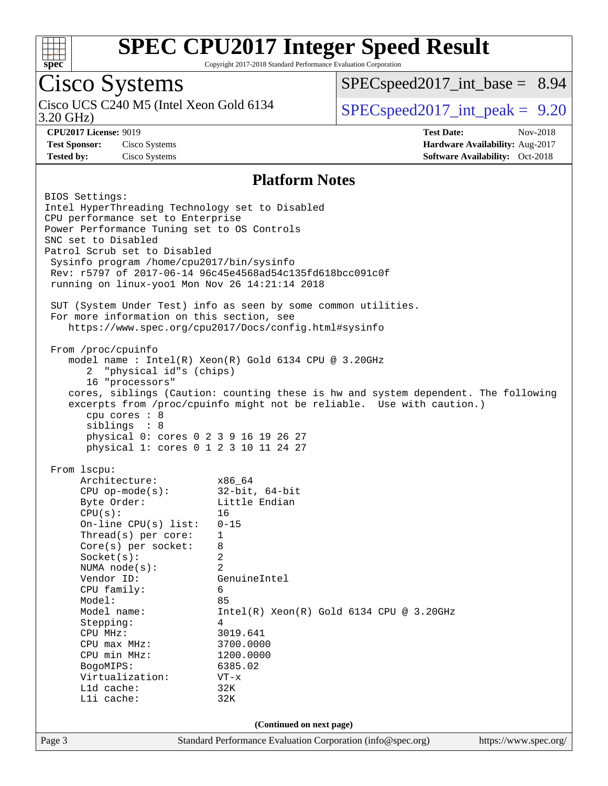

Copyright 2017-2018 Standard Performance Evaluation Corporation

### Cisco Systems

3.20 GHz) Cisco UCS C240 M5 (Intel Xeon Gold 6134  $\vert$  [SPECspeed2017\\_int\\_peak =](http://www.spec.org/auto/cpu2017/Docs/result-fields.html#SPECspeed2017intpeak) 9.20

 $SPECspeed2017\_int\_base = 8.94$ 

**[CPU2017 License:](http://www.spec.org/auto/cpu2017/Docs/result-fields.html#CPU2017License)** 9019 **[Test Date:](http://www.spec.org/auto/cpu2017/Docs/result-fields.html#TestDate)** Nov-2018 **[Test Sponsor:](http://www.spec.org/auto/cpu2017/Docs/result-fields.html#TestSponsor)** Cisco Systems **[Hardware Availability:](http://www.spec.org/auto/cpu2017/Docs/result-fields.html#HardwareAvailability)** Aug-2017 **[Tested by:](http://www.spec.org/auto/cpu2017/Docs/result-fields.html#Testedby)** Cisco Systems **[Software Availability:](http://www.spec.org/auto/cpu2017/Docs/result-fields.html#SoftwareAvailability)** Oct-2018

#### **[Platform Notes](http://www.spec.org/auto/cpu2017/Docs/result-fields.html#PlatformNotes)**

Page 3 Standard Performance Evaluation Corporation [\(info@spec.org\)](mailto:info@spec.org) <https://www.spec.org/> BIOS Settings: Intel HyperThreading Technology set to Disabled CPU performance set to Enterprise Power Performance Tuning set to OS Controls SNC set to Disabled Patrol Scrub set to Disabled Sysinfo program /home/cpu2017/bin/sysinfo Rev: r5797 of 2017-06-14 96c45e4568ad54c135fd618bcc091c0f running on linux-yoo1 Mon Nov 26 14:21:14 2018 SUT (System Under Test) info as seen by some common utilities. For more information on this section, see <https://www.spec.org/cpu2017/Docs/config.html#sysinfo> From /proc/cpuinfo model name : Intel(R) Xeon(R) Gold 6134 CPU @ 3.20GHz 2 "physical id"s (chips) 16 "processors" cores, siblings (Caution: counting these is hw and system dependent. The following excerpts from /proc/cpuinfo might not be reliable. Use with caution.) cpu cores : 8 siblings : 8 physical 0: cores 0 2 3 9 16 19 26 27 physical 1: cores 0 1 2 3 10 11 24 27 From lscpu: Architecture: x86\_64 CPU op-mode(s): 32-bit, 64-bit Byte Order: Little Endian  $CPU(s):$  16 On-line CPU(s) list: 0-15 Thread(s) per core: 1 Core(s) per socket: 8 Socket(s): 2 NUMA node(s): 2 Vendor ID: GenuineIntel CPU family: 6 Model: 85 Model name: Intel(R) Xeon(R) Gold 6134 CPU @ 3.20GHz Stepping: 4 CPU MHz: 3019.641 CPU max MHz: 3700.0000<br>CPU min MHz: 1200.0000 CPU min MHz: BogoMIPS: 6385.02 Virtualization: VT-x L1d cache: 32K L1i cache: 32K **(Continued on next page)**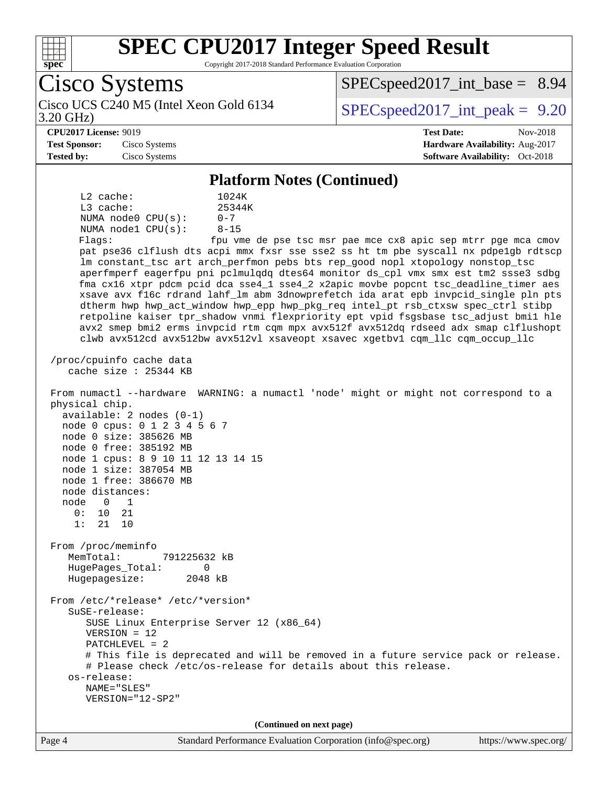

Copyright 2017-2018 Standard Performance Evaluation Corporation

Cisco Systems 3.20 GHz) Cisco UCS C240 M5 (Intel Xeon Gold 6134  $\vert$  [SPECspeed2017\\_int\\_peak =](http://www.spec.org/auto/cpu2017/Docs/result-fields.html#SPECspeed2017intpeak) 9.20  $SPECspeed2017\_int\_base = 8.94$ **[CPU2017 License:](http://www.spec.org/auto/cpu2017/Docs/result-fields.html#CPU2017License)** 9019 **[Test Date:](http://www.spec.org/auto/cpu2017/Docs/result-fields.html#TestDate)** Nov-2018 **[Test Sponsor:](http://www.spec.org/auto/cpu2017/Docs/result-fields.html#TestSponsor)** Cisco Systems **[Hardware Availability:](http://www.spec.org/auto/cpu2017/Docs/result-fields.html#HardwareAvailability)** Aug-2017 **[Tested by:](http://www.spec.org/auto/cpu2017/Docs/result-fields.html#Testedby)** Cisco Systems **[Software Availability:](http://www.spec.org/auto/cpu2017/Docs/result-fields.html#SoftwareAvailability)** Oct-2018 **[Platform Notes \(Continued\)](http://www.spec.org/auto/cpu2017/Docs/result-fields.html#PlatformNotes)** L2 cache: 1024K L3 cache:  $25344K$ <br>NUMA node0 CPU(s):  $0-7$ NUMA node0 CPU(s): NUMA node1 CPU(s): 8-15 Flags: fpu vme de pse tsc msr pae mce cx8 apic sep mtrr pge mca cmov pat pse36 clflush dts acpi mmx fxsr sse sse2 ss ht tm pbe syscall nx pdpe1gb rdtscp lm constant\_tsc art arch\_perfmon pebs bts rep\_good nopl xtopology nonstop\_tsc aperfmperf eagerfpu pni pclmulqdq dtes64 monitor ds\_cpl vmx smx est tm2 ssse3 sdbg fma cx16 xtpr pdcm pcid dca sse4\_1 sse4\_2 x2apic movbe popcnt tsc\_deadline\_timer aes xsave avx f16c rdrand lahf\_lm abm 3dnowprefetch ida arat epb invpcid\_single pln pts dtherm hwp hwp\_act\_window hwp\_epp hwp\_pkg\_req intel\_pt rsb\_ctxsw spec\_ctrl stibp retpoline kaiser tpr\_shadow vnmi flexpriority ept vpid fsgsbase tsc\_adjust bmi1 hle avx2 smep bmi2 erms invpcid rtm cqm mpx avx512f avx512dq rdseed adx smap clflushopt clwb avx512cd avx512bw avx512vl xsaveopt xsavec xgetbv1 cqm\_llc cqm\_occup\_llc /proc/cpuinfo cache data cache size : 25344 KB From numactl --hardware WARNING: a numactl 'node' might or might not correspond to a physical chip. available: 2 nodes (0-1) node 0 cpus: 0 1 2 3 4 5 6 7 node 0 size: 385626 MB node 0 free: 385192 MB node 1 cpus: 8 9 10 11 12 13 14 15 node 1 size: 387054 MB node 1 free: 386670 MB node distances: node 0 1 0: 10 21 1: 21 10 From /proc/meminfo MemTotal: 791225632 kB HugePages\_Total: 0 Hugepagesize: 2048 kB From /etc/\*release\* /etc/\*version\* SuSE-release: SUSE Linux Enterprise Server 12 (x86\_64) VERSION = 12 PATCHLEVEL = 2 # This file is deprecated and will be removed in a future service pack or release. # Please check /etc/os-release for details about this release. os-release: NAME="SLES" VERSION="12-SP2" **(Continued on next page)**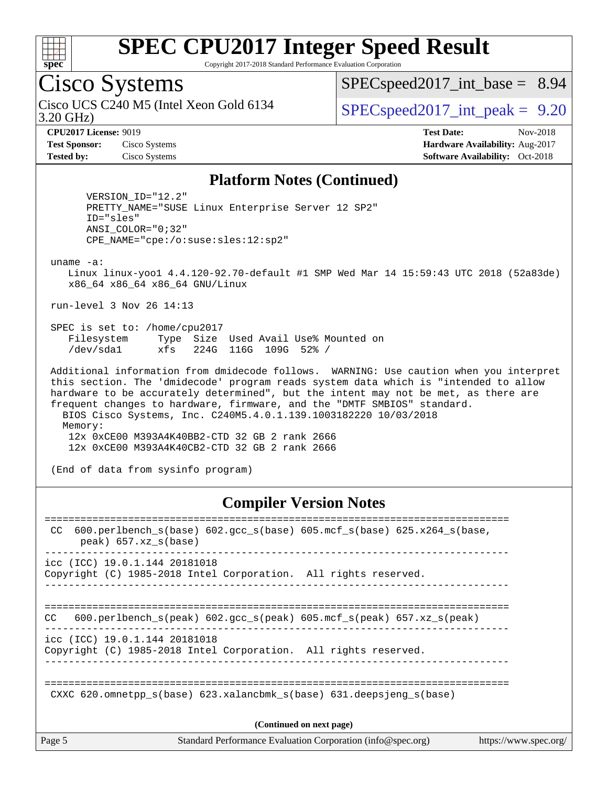

Copyright 2017-2018 Standard Performance Evaluation Corporation

### Cisco Systems

3.20 GHz) Cisco UCS C240 M5 (Intel Xeon Gold 6134  $\vert$  [SPECspeed2017\\_int\\_peak =](http://www.spec.org/auto/cpu2017/Docs/result-fields.html#SPECspeed2017intpeak) 9.20

 $SPECspeed2017\_int\_base = 8.94$ 

**[CPU2017 License:](http://www.spec.org/auto/cpu2017/Docs/result-fields.html#CPU2017License)** 9019 **[Test Date:](http://www.spec.org/auto/cpu2017/Docs/result-fields.html#TestDate)** Nov-2018 **[Test Sponsor:](http://www.spec.org/auto/cpu2017/Docs/result-fields.html#TestSponsor)** Cisco Systems **[Hardware Availability:](http://www.spec.org/auto/cpu2017/Docs/result-fields.html#HardwareAvailability)** Aug-2017 **[Tested by:](http://www.spec.org/auto/cpu2017/Docs/result-fields.html#Testedby)** Cisco Systems **[Software Availability:](http://www.spec.org/auto/cpu2017/Docs/result-fields.html#SoftwareAvailability)** Oct-2018

#### **[Platform Notes \(Continued\)](http://www.spec.org/auto/cpu2017/Docs/result-fields.html#PlatformNotes)**

 VERSION\_ID="12.2" PRETTY\_NAME="SUSE Linux Enterprise Server 12 SP2" ID="sles" ANSI\_COLOR="0;32" CPE\_NAME="cpe:/o:suse:sles:12:sp2"

uname -a:

 Linux linux-yoo1 4.4.120-92.70-default #1 SMP Wed Mar 14 15:59:43 UTC 2018 (52a83de) x86\_64 x86\_64 x86\_64 GNU/Linux

run-level 3 Nov 26 14:13

 SPEC is set to: /home/cpu2017 Filesystem Type Size Used Avail Use% Mounted on /dev/sda1 xfs 224G 116G 109G 52% /

 Additional information from dmidecode follows. WARNING: Use caution when you interpret this section. The 'dmidecode' program reads system data which is "intended to allow hardware to be accurately determined", but the intent may not be met, as there are frequent changes to hardware, firmware, and the "DMTF SMBIOS" standard. BIOS Cisco Systems, Inc. C240M5.4.0.1.139.1003182220 10/03/2018 Memory: 12x 0xCE00 M393A4K40BB2-CTD 32 GB 2 rank 2666 12x 0xCE00 M393A4K40CB2-CTD 32 GB 2 rank 2666

(End of data from sysinfo program)

#### **[Compiler Version Notes](http://www.spec.org/auto/cpu2017/Docs/result-fields.html#CompilerVersionNotes)**

| $600. perlbench_s(base) 602. gcc_s(base) 605.mcf_s(base) 625.x264_s(base,$<br>CC<br>$peak)$ 657.xz $s(base)$    |  |  |  |  |  |  |  |  |
|-----------------------------------------------------------------------------------------------------------------|--|--|--|--|--|--|--|--|
| icc (ICC) 19.0.1.144 20181018<br>Copyright (C) 1985-2018 Intel Corporation. All rights reserved.                |  |  |  |  |  |  |  |  |
| 600.perlbench $s(\text{peak})$ 602.gcc $s(\text{peak})$ 605.mcf $s(\text{peak})$ 657.xz $s(\text{peak})$<br>CC. |  |  |  |  |  |  |  |  |
| $\text{icc}$ (ICC) 19.0.1.144 20181018<br>Copyright (C) 1985-2018 Intel Corporation. All rights reserved.       |  |  |  |  |  |  |  |  |
| CXXC 620. omnetpp $s(base)$ 623. xalancbmk $s(base)$ 631. deepsjeng $s(base)$                                   |  |  |  |  |  |  |  |  |
| (Continued on next page)                                                                                        |  |  |  |  |  |  |  |  |
|                                                                                                                 |  |  |  |  |  |  |  |  |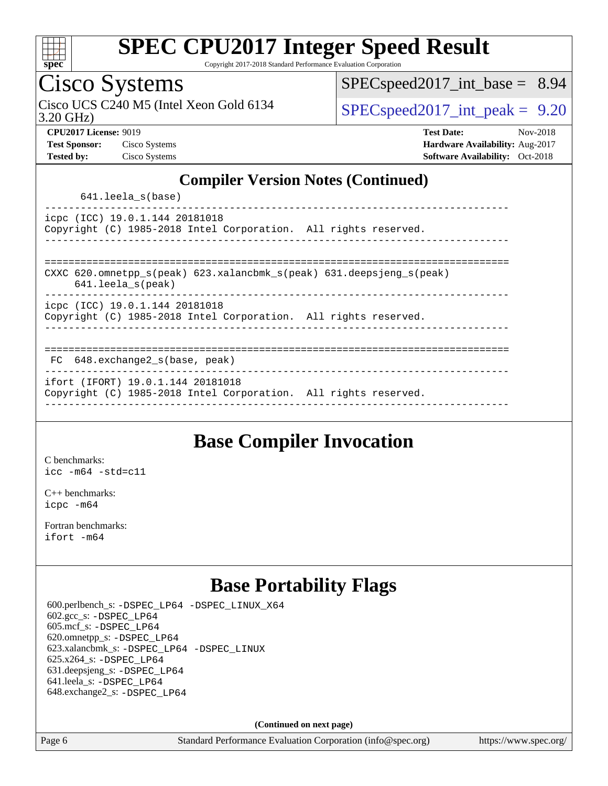

Copyright 2017-2018 Standard Performance Evaluation Corporation

### Cisco Systems

3.20 GHz) Cisco UCS C240 M5 (Intel Xeon Gold 6134  $\vert$  [SPECspeed2017\\_int\\_peak =](http://www.spec.org/auto/cpu2017/Docs/result-fields.html#SPECspeed2017intpeak) 9.20

[SPECspeed2017\\_int\\_base =](http://www.spec.org/auto/cpu2017/Docs/result-fields.html#SPECspeed2017intbase) 8.94

**[CPU2017 License:](http://www.spec.org/auto/cpu2017/Docs/result-fields.html#CPU2017License)** 9019 **[Test Date:](http://www.spec.org/auto/cpu2017/Docs/result-fields.html#TestDate)** Nov-2018 **[Test Sponsor:](http://www.spec.org/auto/cpu2017/Docs/result-fields.html#TestSponsor)** Cisco Systems **[Hardware Availability:](http://www.spec.org/auto/cpu2017/Docs/result-fields.html#HardwareAvailability)** Aug-2017 **[Tested by:](http://www.spec.org/auto/cpu2017/Docs/result-fields.html#Testedby)** Cisco Systems **[Software Availability:](http://www.spec.org/auto/cpu2017/Docs/result-fields.html#SoftwareAvailability)** Oct-2018

#### **[Compiler Version Notes \(Continued\)](http://www.spec.org/auto/cpu2017/Docs/result-fields.html#CompilerVersionNotes)**

641.leela\_s(base)

----------------------------------------------------------------------------- icpc (ICC) 19.0.1.144 20181018 Copyright (C) 1985-2018 Intel Corporation. All rights reserved. ------------------------------------------------------------------------------

============================================================================== CXXC 620.omnetpp\_s(peak) 623.xalancbmk\_s(peak) 631.deepsjeng\_s(peak)

641.leela\_s(peak)

------------------------------------------------------------------------------

icpc (ICC) 19.0.1.144 20181018 Copyright (C) 1985-2018 Intel Corporation. All rights reserved.

------------------------------------------------------------------------------

#### ==============================================================================

 FC 648.exchange2\_s(base, peak) ------------------------------------------------------------------------------

ifort (IFORT) 19.0.1.144 20181018

Copyright (C) 1985-2018 Intel Corporation. All rights reserved. ------------------------------------------------------------------------------

#### **[Base Compiler Invocation](http://www.spec.org/auto/cpu2017/Docs/result-fields.html#BaseCompilerInvocation)**

[C benchmarks](http://www.spec.org/auto/cpu2017/Docs/result-fields.html#Cbenchmarks): [icc -m64 -std=c11](http://www.spec.org/cpu2017/results/res2018q4/cpu2017-20181211-10239.flags.html#user_CCbase_intel_icc_64bit_c11_33ee0cdaae7deeeab2a9725423ba97205ce30f63b9926c2519791662299b76a0318f32ddfffdc46587804de3178b4f9328c46fa7c2b0cd779d7a61945c91cd35)

[C++ benchmarks:](http://www.spec.org/auto/cpu2017/Docs/result-fields.html#CXXbenchmarks) [icpc -m64](http://www.spec.org/cpu2017/results/res2018q4/cpu2017-20181211-10239.flags.html#user_CXXbase_intel_icpc_64bit_4ecb2543ae3f1412ef961e0650ca070fec7b7afdcd6ed48761b84423119d1bf6bdf5cad15b44d48e7256388bc77273b966e5eb805aefd121eb22e9299b2ec9d9)

[Fortran benchmarks](http://www.spec.org/auto/cpu2017/Docs/result-fields.html#Fortranbenchmarks): [ifort -m64](http://www.spec.org/cpu2017/results/res2018q4/cpu2017-20181211-10239.flags.html#user_FCbase_intel_ifort_64bit_24f2bb282fbaeffd6157abe4f878425411749daecae9a33200eee2bee2fe76f3b89351d69a8130dd5949958ce389cf37ff59a95e7a40d588e8d3a57e0c3fd751)

#### **[Base Portability Flags](http://www.spec.org/auto/cpu2017/Docs/result-fields.html#BasePortabilityFlags)**

 600.perlbench\_s: [-DSPEC\\_LP64](http://www.spec.org/cpu2017/results/res2018q4/cpu2017-20181211-10239.flags.html#b600.perlbench_s_basePORTABILITY_DSPEC_LP64) [-DSPEC\\_LINUX\\_X64](http://www.spec.org/cpu2017/results/res2018q4/cpu2017-20181211-10239.flags.html#b600.perlbench_s_baseCPORTABILITY_DSPEC_LINUX_X64) 602.gcc\_s: [-DSPEC\\_LP64](http://www.spec.org/cpu2017/results/res2018q4/cpu2017-20181211-10239.flags.html#suite_basePORTABILITY602_gcc_s_DSPEC_LP64) 605.mcf\_s: [-DSPEC\\_LP64](http://www.spec.org/cpu2017/results/res2018q4/cpu2017-20181211-10239.flags.html#suite_basePORTABILITY605_mcf_s_DSPEC_LP64) 620.omnetpp\_s: [-DSPEC\\_LP64](http://www.spec.org/cpu2017/results/res2018q4/cpu2017-20181211-10239.flags.html#suite_basePORTABILITY620_omnetpp_s_DSPEC_LP64) 623.xalancbmk\_s: [-DSPEC\\_LP64](http://www.spec.org/cpu2017/results/res2018q4/cpu2017-20181211-10239.flags.html#suite_basePORTABILITY623_xalancbmk_s_DSPEC_LP64) [-DSPEC\\_LINUX](http://www.spec.org/cpu2017/results/res2018q4/cpu2017-20181211-10239.flags.html#b623.xalancbmk_s_baseCXXPORTABILITY_DSPEC_LINUX) 625.x264\_s: [-DSPEC\\_LP64](http://www.spec.org/cpu2017/results/res2018q4/cpu2017-20181211-10239.flags.html#suite_basePORTABILITY625_x264_s_DSPEC_LP64) 631.deepsjeng\_s: [-DSPEC\\_LP64](http://www.spec.org/cpu2017/results/res2018q4/cpu2017-20181211-10239.flags.html#suite_basePORTABILITY631_deepsjeng_s_DSPEC_LP64) 641.leela\_s: [-DSPEC\\_LP64](http://www.spec.org/cpu2017/results/res2018q4/cpu2017-20181211-10239.flags.html#suite_basePORTABILITY641_leela_s_DSPEC_LP64) 648.exchange2\_s: [-DSPEC\\_LP64](http://www.spec.org/cpu2017/results/res2018q4/cpu2017-20181211-10239.flags.html#suite_basePORTABILITY648_exchange2_s_DSPEC_LP64)

**(Continued on next page)**

Page 6 Standard Performance Evaluation Corporation [\(info@spec.org\)](mailto:info@spec.org) <https://www.spec.org/>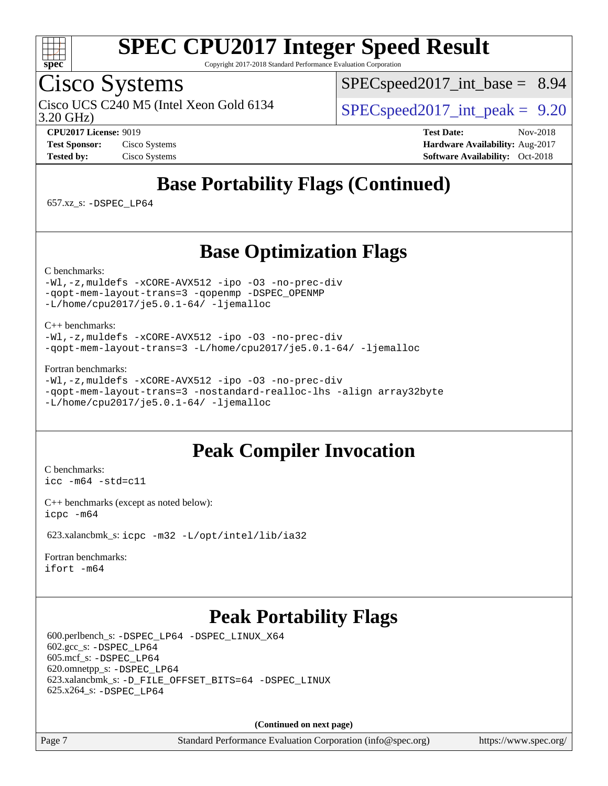

Copyright 2017-2018 Standard Performance Evaluation Corporation

### Cisco Systems

3.20 GHz) Cisco UCS C240 M5 (Intel Xeon Gold 6134  $\vert$  [SPECspeed2017\\_int\\_peak =](http://www.spec.org/auto/cpu2017/Docs/result-fields.html#SPECspeed2017intpeak) 9.20

 $SPECspeed2017\_int\_base = 8.94$ 

**[CPU2017 License:](http://www.spec.org/auto/cpu2017/Docs/result-fields.html#CPU2017License)** 9019 **[Test Date:](http://www.spec.org/auto/cpu2017/Docs/result-fields.html#TestDate)** Nov-2018 **[Test Sponsor:](http://www.spec.org/auto/cpu2017/Docs/result-fields.html#TestSponsor)** Cisco Systems **[Hardware Availability:](http://www.spec.org/auto/cpu2017/Docs/result-fields.html#HardwareAvailability)** Aug-2017 **[Tested by:](http://www.spec.org/auto/cpu2017/Docs/result-fields.html#Testedby)** Cisco Systems **[Software Availability:](http://www.spec.org/auto/cpu2017/Docs/result-fields.html#SoftwareAvailability)** Oct-2018

### **[Base Portability Flags \(Continued\)](http://www.spec.org/auto/cpu2017/Docs/result-fields.html#BasePortabilityFlags)**

657.xz\_s: [-DSPEC\\_LP64](http://www.spec.org/cpu2017/results/res2018q4/cpu2017-20181211-10239.flags.html#suite_basePORTABILITY657_xz_s_DSPEC_LP64)

#### **[Base Optimization Flags](http://www.spec.org/auto/cpu2017/Docs/result-fields.html#BaseOptimizationFlags)**

[C benchmarks](http://www.spec.org/auto/cpu2017/Docs/result-fields.html#Cbenchmarks):

[-Wl,-z,muldefs](http://www.spec.org/cpu2017/results/res2018q4/cpu2017-20181211-10239.flags.html#user_CCbase_link_force_multiple1_b4cbdb97b34bdee9ceefcfe54f4c8ea74255f0b02a4b23e853cdb0e18eb4525ac79b5a88067c842dd0ee6996c24547a27a4b99331201badda8798ef8a743f577) [-xCORE-AVX512](http://www.spec.org/cpu2017/results/res2018q4/cpu2017-20181211-10239.flags.html#user_CCbase_f-xCORE-AVX512) [-ipo](http://www.spec.org/cpu2017/results/res2018q4/cpu2017-20181211-10239.flags.html#user_CCbase_f-ipo) [-O3](http://www.spec.org/cpu2017/results/res2018q4/cpu2017-20181211-10239.flags.html#user_CCbase_f-O3) [-no-prec-div](http://www.spec.org/cpu2017/results/res2018q4/cpu2017-20181211-10239.flags.html#user_CCbase_f-no-prec-div) [-qopt-mem-layout-trans=3](http://www.spec.org/cpu2017/results/res2018q4/cpu2017-20181211-10239.flags.html#user_CCbase_f-qopt-mem-layout-trans_de80db37974c74b1f0e20d883f0b675c88c3b01e9d123adea9b28688d64333345fb62bc4a798493513fdb68f60282f9a726aa07f478b2f7113531aecce732043) [-qopenmp](http://www.spec.org/cpu2017/results/res2018q4/cpu2017-20181211-10239.flags.html#user_CCbase_qopenmp_16be0c44f24f464004c6784a7acb94aca937f053568ce72f94b139a11c7c168634a55f6653758ddd83bcf7b8463e8028bb0b48b77bcddc6b78d5d95bb1df2967) [-DSPEC\\_OPENMP](http://www.spec.org/cpu2017/results/res2018q4/cpu2017-20181211-10239.flags.html#suite_CCbase_DSPEC_OPENMP) [-L/home/cpu2017/je5.0.1-64/](http://www.spec.org/cpu2017/results/res2018q4/cpu2017-20181211-10239.flags.html#user_CCbase_jemalloc_link_path64_8e927a5f1bdac0405e66c637541874330e08086b5e62a1d024bcf3497e3c64fd173c8afb7d1730d51f6da781ef4c439bdab468bb8364cf71435e0c609fac500c) [-ljemalloc](http://www.spec.org/cpu2017/results/res2018q4/cpu2017-20181211-10239.flags.html#user_CCbase_jemalloc_link_lib_d1249b907c500fa1c0672f44f562e3d0f79738ae9e3c4a9c376d49f265a04b9c99b167ecedbf6711b3085be911c67ff61f150a17b3472be731631ba4d0471706)

[C++ benchmarks:](http://www.spec.org/auto/cpu2017/Docs/result-fields.html#CXXbenchmarks)

[-Wl,-z,muldefs](http://www.spec.org/cpu2017/results/res2018q4/cpu2017-20181211-10239.flags.html#user_CXXbase_link_force_multiple1_b4cbdb97b34bdee9ceefcfe54f4c8ea74255f0b02a4b23e853cdb0e18eb4525ac79b5a88067c842dd0ee6996c24547a27a4b99331201badda8798ef8a743f577) [-xCORE-AVX512](http://www.spec.org/cpu2017/results/res2018q4/cpu2017-20181211-10239.flags.html#user_CXXbase_f-xCORE-AVX512) [-ipo](http://www.spec.org/cpu2017/results/res2018q4/cpu2017-20181211-10239.flags.html#user_CXXbase_f-ipo) [-O3](http://www.spec.org/cpu2017/results/res2018q4/cpu2017-20181211-10239.flags.html#user_CXXbase_f-O3) [-no-prec-div](http://www.spec.org/cpu2017/results/res2018q4/cpu2017-20181211-10239.flags.html#user_CXXbase_f-no-prec-div) [-qopt-mem-layout-trans=3](http://www.spec.org/cpu2017/results/res2018q4/cpu2017-20181211-10239.flags.html#user_CXXbase_f-qopt-mem-layout-trans_de80db37974c74b1f0e20d883f0b675c88c3b01e9d123adea9b28688d64333345fb62bc4a798493513fdb68f60282f9a726aa07f478b2f7113531aecce732043) [-L/home/cpu2017/je5.0.1-64/](http://www.spec.org/cpu2017/results/res2018q4/cpu2017-20181211-10239.flags.html#user_CXXbase_jemalloc_link_path64_8e927a5f1bdac0405e66c637541874330e08086b5e62a1d024bcf3497e3c64fd173c8afb7d1730d51f6da781ef4c439bdab468bb8364cf71435e0c609fac500c) [-ljemalloc](http://www.spec.org/cpu2017/results/res2018q4/cpu2017-20181211-10239.flags.html#user_CXXbase_jemalloc_link_lib_d1249b907c500fa1c0672f44f562e3d0f79738ae9e3c4a9c376d49f265a04b9c99b167ecedbf6711b3085be911c67ff61f150a17b3472be731631ba4d0471706)

[Fortran benchmarks](http://www.spec.org/auto/cpu2017/Docs/result-fields.html#Fortranbenchmarks):

```
-Wl,-z,muldefs -xCORE-AVX512 -ipo -O3 -no-prec-div
-qopt-mem-layout-trans=3 -nostandard-realloc-lhs -align array32byte
-L/home/cpu2017/je5.0.1-64/ -ljemalloc
```
#### **[Peak Compiler Invocation](http://www.spec.org/auto/cpu2017/Docs/result-fields.html#PeakCompilerInvocation)**

[C benchmarks](http://www.spec.org/auto/cpu2017/Docs/result-fields.html#Cbenchmarks): [icc -m64 -std=c11](http://www.spec.org/cpu2017/results/res2018q4/cpu2017-20181211-10239.flags.html#user_CCpeak_intel_icc_64bit_c11_33ee0cdaae7deeeab2a9725423ba97205ce30f63b9926c2519791662299b76a0318f32ddfffdc46587804de3178b4f9328c46fa7c2b0cd779d7a61945c91cd35)

[C++ benchmarks \(except as noted below\):](http://www.spec.org/auto/cpu2017/Docs/result-fields.html#CXXbenchmarksexceptasnotedbelow) [icpc -m64](http://www.spec.org/cpu2017/results/res2018q4/cpu2017-20181211-10239.flags.html#user_CXXpeak_intel_icpc_64bit_4ecb2543ae3f1412ef961e0650ca070fec7b7afdcd6ed48761b84423119d1bf6bdf5cad15b44d48e7256388bc77273b966e5eb805aefd121eb22e9299b2ec9d9)

623.xalancbmk\_s: [icpc -m32 -L/opt/intel/lib/ia32](http://www.spec.org/cpu2017/results/res2018q4/cpu2017-20181211-10239.flags.html#user_peakCXXLD623_xalancbmk_s_intel_icpc_44eae83c1f565e7e266431f067370024ba26559400a3332485578bf716e23841c734f948145e944e2f4b6f3ce32c2c966ea92b66ca79c6f94f301242c0f554cf)

[Fortran benchmarks](http://www.spec.org/auto/cpu2017/Docs/result-fields.html#Fortranbenchmarks): [ifort -m64](http://www.spec.org/cpu2017/results/res2018q4/cpu2017-20181211-10239.flags.html#user_FCpeak_intel_ifort_64bit_24f2bb282fbaeffd6157abe4f878425411749daecae9a33200eee2bee2fe76f3b89351d69a8130dd5949958ce389cf37ff59a95e7a40d588e8d3a57e0c3fd751)

#### **[Peak Portability Flags](http://www.spec.org/auto/cpu2017/Docs/result-fields.html#PeakPortabilityFlags)**

 600.perlbench\_s: [-DSPEC\\_LP64](http://www.spec.org/cpu2017/results/res2018q4/cpu2017-20181211-10239.flags.html#b600.perlbench_s_peakPORTABILITY_DSPEC_LP64) [-DSPEC\\_LINUX\\_X64](http://www.spec.org/cpu2017/results/res2018q4/cpu2017-20181211-10239.flags.html#b600.perlbench_s_peakCPORTABILITY_DSPEC_LINUX_X64) 602.gcc\_s: [-DSPEC\\_LP64](http://www.spec.org/cpu2017/results/res2018q4/cpu2017-20181211-10239.flags.html#suite_peakPORTABILITY602_gcc_s_DSPEC_LP64) 605.mcf\_s: [-DSPEC\\_LP64](http://www.spec.org/cpu2017/results/res2018q4/cpu2017-20181211-10239.flags.html#suite_peakPORTABILITY605_mcf_s_DSPEC_LP64) 620.omnetpp\_s: [-DSPEC\\_LP64](http://www.spec.org/cpu2017/results/res2018q4/cpu2017-20181211-10239.flags.html#suite_peakPORTABILITY620_omnetpp_s_DSPEC_LP64) 623.xalancbmk\_s: [-D\\_FILE\\_OFFSET\\_BITS=64](http://www.spec.org/cpu2017/results/res2018q4/cpu2017-20181211-10239.flags.html#user_peakPORTABILITY623_xalancbmk_s_file_offset_bits_64_5ae949a99b284ddf4e95728d47cb0843d81b2eb0e18bdfe74bbf0f61d0b064f4bda2f10ea5eb90e1dcab0e84dbc592acfc5018bc955c18609f94ddb8d550002c) [-DSPEC\\_LINUX](http://www.spec.org/cpu2017/results/res2018q4/cpu2017-20181211-10239.flags.html#b623.xalancbmk_s_peakCXXPORTABILITY_DSPEC_LINUX) 625.x264\_s: [-DSPEC\\_LP64](http://www.spec.org/cpu2017/results/res2018q4/cpu2017-20181211-10239.flags.html#suite_peakPORTABILITY625_x264_s_DSPEC_LP64)

**(Continued on next page)**

Page 7 Standard Performance Evaluation Corporation [\(info@spec.org\)](mailto:info@spec.org) <https://www.spec.org/>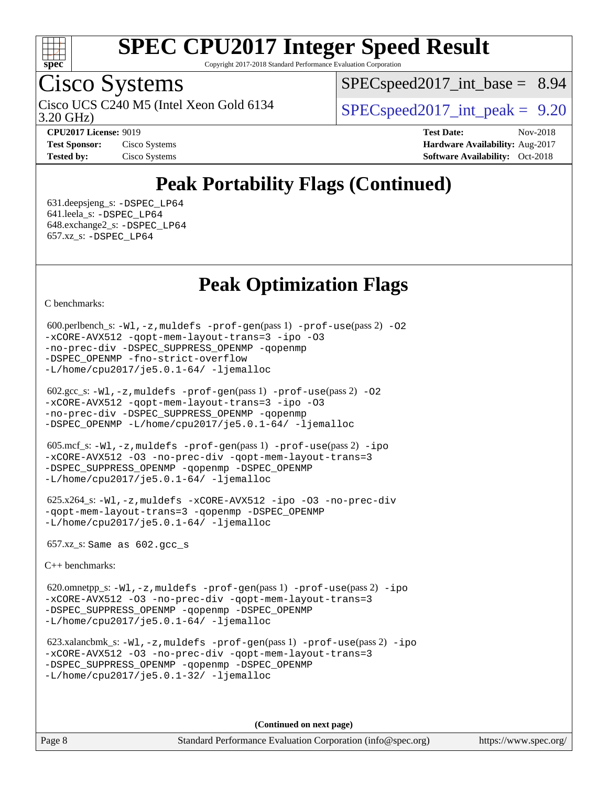

Copyright 2017-2018 Standard Performance Evaluation Corporation

### Cisco Systems

3.20 GHz) Cisco UCS C240 M5 (Intel Xeon Gold 6134  $\vert$  [SPECspeed2017\\_int\\_peak =](http://www.spec.org/auto/cpu2017/Docs/result-fields.html#SPECspeed2017intpeak) 9.20

 $SPECspeed2017\_int\_base = 8.94$ 

**[Tested by:](http://www.spec.org/auto/cpu2017/Docs/result-fields.html#Testedby)** Cisco Systems **[Software Availability:](http://www.spec.org/auto/cpu2017/Docs/result-fields.html#SoftwareAvailability)** Oct-2018

**[CPU2017 License:](http://www.spec.org/auto/cpu2017/Docs/result-fields.html#CPU2017License)** 9019 **[Test Date:](http://www.spec.org/auto/cpu2017/Docs/result-fields.html#TestDate)** Nov-2018 **[Test Sponsor:](http://www.spec.org/auto/cpu2017/Docs/result-fields.html#TestSponsor)** Cisco Systems **Cisco Systems [Hardware Availability:](http://www.spec.org/auto/cpu2017/Docs/result-fields.html#HardwareAvailability)** Aug-2017

### **[Peak Portability Flags \(Continued\)](http://www.spec.org/auto/cpu2017/Docs/result-fields.html#PeakPortabilityFlags)**

 631.deepsjeng\_s: [-DSPEC\\_LP64](http://www.spec.org/cpu2017/results/res2018q4/cpu2017-20181211-10239.flags.html#suite_peakPORTABILITY631_deepsjeng_s_DSPEC_LP64) 641.leela\_s: [-DSPEC\\_LP64](http://www.spec.org/cpu2017/results/res2018q4/cpu2017-20181211-10239.flags.html#suite_peakPORTABILITY641_leela_s_DSPEC_LP64) 648.exchange2\_s: [-DSPEC\\_LP64](http://www.spec.org/cpu2017/results/res2018q4/cpu2017-20181211-10239.flags.html#suite_peakPORTABILITY648_exchange2_s_DSPEC_LP64) 657.xz\_s: [-DSPEC\\_LP64](http://www.spec.org/cpu2017/results/res2018q4/cpu2017-20181211-10239.flags.html#suite_peakPORTABILITY657_xz_s_DSPEC_LP64)

#### **[Peak Optimization Flags](http://www.spec.org/auto/cpu2017/Docs/result-fields.html#PeakOptimizationFlags)**

[C benchmarks](http://www.spec.org/auto/cpu2017/Docs/result-fields.html#Cbenchmarks):

```
600.perlbench_s: -W1-prof-gen-prof-use(pass 2) -02
-xCORE-AVX512 -qopt-mem-layout-trans=3 -ipo -O3
-no-prec-div -DSPEC_SUPPRESS_OPENMP -qopenmp
-DSPEC_OPENMP -fno-strict-overflow
-L/home/cpu2017/je5.0.1-64/ -ljemalloc
```

```
 602.gcc_s: -Wl,-z,muldefs -prof-gen(pass 1) -prof-use(pass 2) -O2
-xCORE-AVX512 -qopt-mem-layout-trans=3 -ipo -O3
-no-prec-div -DSPEC_SUPPRESS_OPENMP -qopenmp
-DSPEC_OPENMP -L/home/cpu2017/je5.0.1-64/ -ljemalloc
```

```
 605.mcf_s: -Wl,-z,muldefs -prof-gen(pass 1) -prof-use(pass 2) -ipo
-xCORE-AVX512 -O3 -no-prec-div -qopt-mem-layout-trans=3
-DSPEC_SUPPRESS_OPENMP -qopenmp -DSPEC_OPENMP
-L/home/cpu2017/je5.0.1-64/ -ljemalloc
```

```
 625.x264_s: -Wl,-z,muldefs -xCORE-AVX512 -ipo -O3 -no-prec-div
-qopt-mem-layout-trans=3 -qopenmp -DSPEC_OPENMP
-L/home/cpu2017/je5.0.1-64/ -ljemalloc
```
657.xz\_s: Same as 602.gcc\_s

[C++ benchmarks:](http://www.spec.org/auto/cpu2017/Docs/result-fields.html#CXXbenchmarks)

 620.omnetpp\_s: [-Wl,-z,muldefs](http://www.spec.org/cpu2017/results/res2018q4/cpu2017-20181211-10239.flags.html#user_peakEXTRA_LDFLAGS620_omnetpp_s_link_force_multiple1_b4cbdb97b34bdee9ceefcfe54f4c8ea74255f0b02a4b23e853cdb0e18eb4525ac79b5a88067c842dd0ee6996c24547a27a4b99331201badda8798ef8a743f577) [-prof-gen](http://www.spec.org/cpu2017/results/res2018q4/cpu2017-20181211-10239.flags.html#user_peakPASS1_CXXFLAGSPASS1_LDFLAGS620_omnetpp_s_prof_gen_5aa4926d6013ddb2a31985c654b3eb18169fc0c6952a63635c234f711e6e63dd76e94ad52365559451ec499a2cdb89e4dc58ba4c67ef54ca681ffbe1461d6b36)(pass 1) [-prof-use](http://www.spec.org/cpu2017/results/res2018q4/cpu2017-20181211-10239.flags.html#user_peakPASS2_CXXFLAGSPASS2_LDFLAGS620_omnetpp_s_prof_use_1a21ceae95f36a2b53c25747139a6c16ca95bd9def2a207b4f0849963b97e94f5260e30a0c64f4bb623698870e679ca08317ef8150905d41bd88c6f78df73f19)(pass 2) [-ipo](http://www.spec.org/cpu2017/results/res2018q4/cpu2017-20181211-10239.flags.html#user_peakPASS1_CXXOPTIMIZEPASS2_CXXOPTIMIZE620_omnetpp_s_f-ipo) [-xCORE-AVX512](http://www.spec.org/cpu2017/results/res2018q4/cpu2017-20181211-10239.flags.html#user_peakPASS2_CXXOPTIMIZE620_omnetpp_s_f-xCORE-AVX512) [-O3](http://www.spec.org/cpu2017/results/res2018q4/cpu2017-20181211-10239.flags.html#user_peakPASS1_CXXOPTIMIZEPASS2_CXXOPTIMIZE620_omnetpp_s_f-O3) [-no-prec-div](http://www.spec.org/cpu2017/results/res2018q4/cpu2017-20181211-10239.flags.html#user_peakPASS1_CXXOPTIMIZEPASS2_CXXOPTIMIZE620_omnetpp_s_f-no-prec-div) [-qopt-mem-layout-trans=3](http://www.spec.org/cpu2017/results/res2018q4/cpu2017-20181211-10239.flags.html#user_peakPASS1_CXXOPTIMIZEPASS2_CXXOPTIMIZE620_omnetpp_s_f-qopt-mem-layout-trans_de80db37974c74b1f0e20d883f0b675c88c3b01e9d123adea9b28688d64333345fb62bc4a798493513fdb68f60282f9a726aa07f478b2f7113531aecce732043) [-DSPEC\\_SUPPRESS\\_OPENMP](http://www.spec.org/cpu2017/results/res2018q4/cpu2017-20181211-10239.flags.html#suite_peakPASS1_CXXOPTIMIZE620_omnetpp_s_DSPEC_SUPPRESS_OPENMP) [-qopenmp](http://www.spec.org/cpu2017/results/res2018q4/cpu2017-20181211-10239.flags.html#user_peakPASS2_CXXOPTIMIZE620_omnetpp_s_qopenmp_16be0c44f24f464004c6784a7acb94aca937f053568ce72f94b139a11c7c168634a55f6653758ddd83bcf7b8463e8028bb0b48b77bcddc6b78d5d95bb1df2967) [-DSPEC\\_OPENMP](http://www.spec.org/cpu2017/results/res2018q4/cpu2017-20181211-10239.flags.html#suite_peakPASS2_CXXOPTIMIZE620_omnetpp_s_DSPEC_OPENMP) [-L/home/cpu2017/je5.0.1-64/](http://www.spec.org/cpu2017/results/res2018q4/cpu2017-20181211-10239.flags.html#user_peakEXTRA_LIBS620_omnetpp_s_jemalloc_link_path64_8e927a5f1bdac0405e66c637541874330e08086b5e62a1d024bcf3497e3c64fd173c8afb7d1730d51f6da781ef4c439bdab468bb8364cf71435e0c609fac500c) [-ljemalloc](http://www.spec.org/cpu2017/results/res2018q4/cpu2017-20181211-10239.flags.html#user_peakEXTRA_LIBS620_omnetpp_s_jemalloc_link_lib_d1249b907c500fa1c0672f44f562e3d0f79738ae9e3c4a9c376d49f265a04b9c99b167ecedbf6711b3085be911c67ff61f150a17b3472be731631ba4d0471706)

 623.xalancbmk\_s: [-Wl,-z,muldefs](http://www.spec.org/cpu2017/results/res2018q4/cpu2017-20181211-10239.flags.html#user_peakEXTRA_LDFLAGS623_xalancbmk_s_link_force_multiple1_b4cbdb97b34bdee9ceefcfe54f4c8ea74255f0b02a4b23e853cdb0e18eb4525ac79b5a88067c842dd0ee6996c24547a27a4b99331201badda8798ef8a743f577) [-prof-gen](http://www.spec.org/cpu2017/results/res2018q4/cpu2017-20181211-10239.flags.html#user_peakPASS1_CXXFLAGSPASS1_LDFLAGS623_xalancbmk_s_prof_gen_5aa4926d6013ddb2a31985c654b3eb18169fc0c6952a63635c234f711e6e63dd76e94ad52365559451ec499a2cdb89e4dc58ba4c67ef54ca681ffbe1461d6b36)(pass 1) [-prof-use](http://www.spec.org/cpu2017/results/res2018q4/cpu2017-20181211-10239.flags.html#user_peakPASS2_CXXFLAGSPASS2_LDFLAGS623_xalancbmk_s_prof_use_1a21ceae95f36a2b53c25747139a6c16ca95bd9def2a207b4f0849963b97e94f5260e30a0c64f4bb623698870e679ca08317ef8150905d41bd88c6f78df73f19)(pass 2) [-ipo](http://www.spec.org/cpu2017/results/res2018q4/cpu2017-20181211-10239.flags.html#user_peakPASS1_CXXOPTIMIZEPASS2_CXXOPTIMIZE623_xalancbmk_s_f-ipo) [-xCORE-AVX512](http://www.spec.org/cpu2017/results/res2018q4/cpu2017-20181211-10239.flags.html#user_peakPASS2_CXXOPTIMIZE623_xalancbmk_s_f-xCORE-AVX512) [-O3](http://www.spec.org/cpu2017/results/res2018q4/cpu2017-20181211-10239.flags.html#user_peakPASS1_CXXOPTIMIZEPASS2_CXXOPTIMIZE623_xalancbmk_s_f-O3) [-no-prec-div](http://www.spec.org/cpu2017/results/res2018q4/cpu2017-20181211-10239.flags.html#user_peakPASS1_CXXOPTIMIZEPASS2_CXXOPTIMIZE623_xalancbmk_s_f-no-prec-div) [-qopt-mem-layout-trans=3](http://www.spec.org/cpu2017/results/res2018q4/cpu2017-20181211-10239.flags.html#user_peakPASS1_CXXOPTIMIZEPASS2_CXXOPTIMIZE623_xalancbmk_s_f-qopt-mem-layout-trans_de80db37974c74b1f0e20d883f0b675c88c3b01e9d123adea9b28688d64333345fb62bc4a798493513fdb68f60282f9a726aa07f478b2f7113531aecce732043) [-DSPEC\\_SUPPRESS\\_OPENMP](http://www.spec.org/cpu2017/results/res2018q4/cpu2017-20181211-10239.flags.html#suite_peakPASS1_CXXOPTIMIZE623_xalancbmk_s_DSPEC_SUPPRESS_OPENMP) [-qopenmp](http://www.spec.org/cpu2017/results/res2018q4/cpu2017-20181211-10239.flags.html#user_peakPASS2_CXXOPTIMIZE623_xalancbmk_s_qopenmp_16be0c44f24f464004c6784a7acb94aca937f053568ce72f94b139a11c7c168634a55f6653758ddd83bcf7b8463e8028bb0b48b77bcddc6b78d5d95bb1df2967) [-DSPEC\\_OPENMP](http://www.spec.org/cpu2017/results/res2018q4/cpu2017-20181211-10239.flags.html#suite_peakPASS2_CXXOPTIMIZE623_xalancbmk_s_DSPEC_OPENMP) [-L/home/cpu2017/je5.0.1-32/](http://www.spec.org/cpu2017/results/res2018q4/cpu2017-20181211-10239.flags.html#user_peakEXTRA_LIBS623_xalancbmk_s_jemalloc_link_path32_395839964bb6e7d127dfa41a70bc909a71494bc32f82a1f18d87c6546a5f35ea9c5ad3c111b30f9a5397a6f43b4f43a41cfbf7d188da9198ed16c21920a4a794) [-ljemalloc](http://www.spec.org/cpu2017/results/res2018q4/cpu2017-20181211-10239.flags.html#user_peakEXTRA_LIBS623_xalancbmk_s_jemalloc_link_lib_d1249b907c500fa1c0672f44f562e3d0f79738ae9e3c4a9c376d49f265a04b9c99b167ecedbf6711b3085be911c67ff61f150a17b3472be731631ba4d0471706)

**(Continued on next page)**